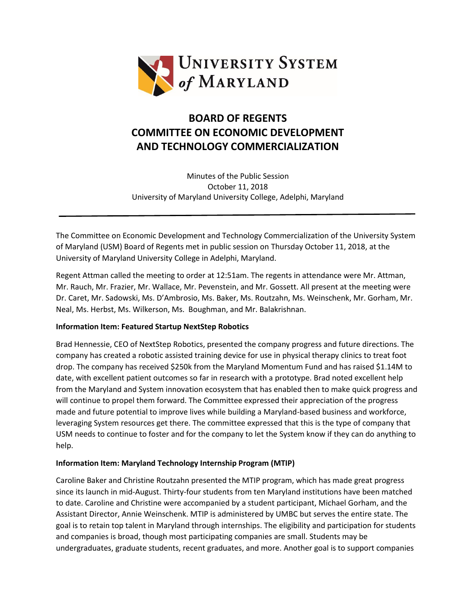

## **BOARD OF REGENTS COMMITTEE ON ECONOMIC DEVELOPMENT AND TECHNOLOGY COMMERCIALIZATION**

Minutes of the Public Session October 11, 2018 University of Maryland University College, Adelphi, Maryland

The Committee on Economic Development and Technology Commercialization of the University System of Maryland (USM) Board of Regents met in public session on Thursday October 11, 2018, at the University of Maryland University College in Adelphi, Maryland.

Regent Attman called the meeting to order at 12:51am. The regents in attendance were Mr. Attman, Mr. Rauch, Mr. Frazier, Mr. Wallace, Mr. Pevenstein, and Mr. Gossett. All present at the meeting were Dr. Caret, Mr. Sadowski, Ms. D'Ambrosio, Ms. Baker, Ms. Routzahn, Ms. Weinschenk, Mr. Gorham, Mr. Neal, Ms. Herbst, Ms. Wilkerson, Ms. Boughman, and Mr. Balakrishnan.

## **Information Item: Featured Startup NextStep Robotics**

Brad Hennessie, CEO of NextStep Robotics, presented the company progress and future directions. The company has created a robotic assisted training device for use in physical therapy clinics to treat foot drop. The company has received \$250k from the Maryland Momentum Fund and has raised \$1.14M to date, with excellent patient outcomes so far in research with a prototype. Brad noted excellent help from the Maryland and System innovation ecosystem that has enabled then to make quick progress and will continue to propel them forward. The Committee expressed their appreciation of the progress made and future potential to improve lives while building a Maryland-based business and workforce, leveraging System resources get there. The committee expressed that this is the type of company that USM needs to continue to foster and for the company to let the System know if they can do anything to help.

## **Information Item: Maryland Technology Internship Program (MTIP)**

Caroline Baker and Christine Routzahn presented the MTIP program, which has made great progress since its launch in mid-August. Thirty-four students from ten Maryland institutions have been matched to date. Caroline and Christine were accompanied by a student participant, Michael Gorham, and the Assistant Director, Annie Weinschenk. MTIP is administered by UMBC but serves the entire state. The goal is to retain top talent in Maryland through internships. The eligibility and participation for students and companies is broad, though most participating companies are small. Students may be undergraduates, graduate students, recent graduates, and more. Another goal is to support companies